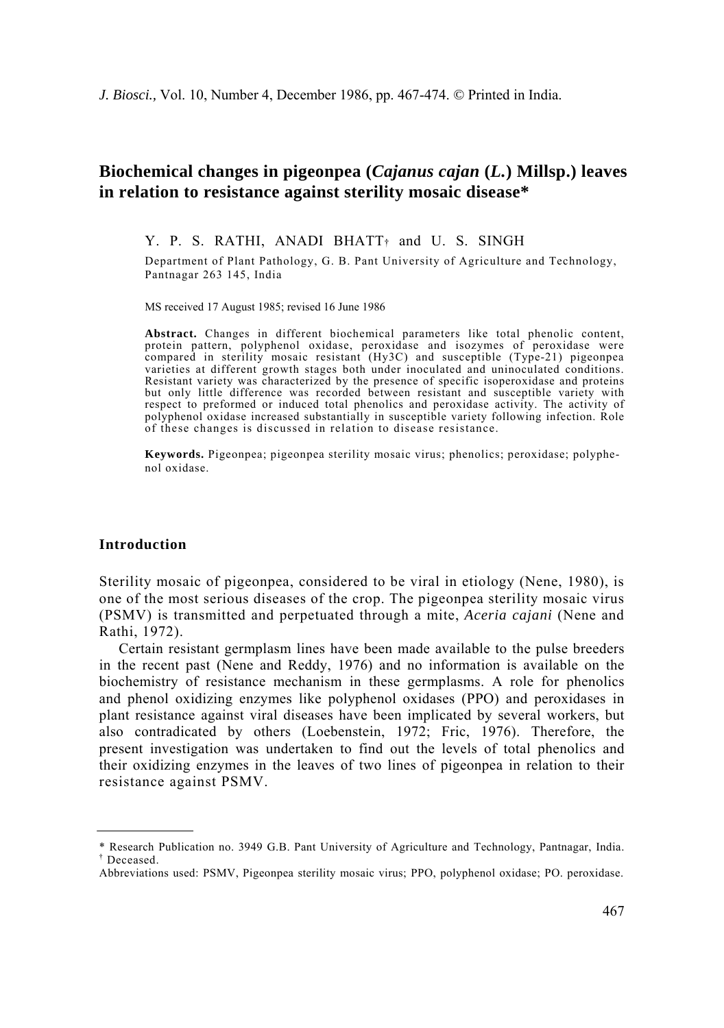# **Biochemical changes in pigeonpea (***Cajanus cajan* **(***L.***) Millsp.) leaves in relation to resistance against sterility mosaic disease\***

Y. P. S. RATHI, ANADI BHATT<sup>†</sup> and U. S. SINGH

Department of Plant Pathology, G. B. Pant University of Agriculture and Technology, Pantnagar 263 145, India

MS received 17 August 1985; revised 16 June 1986

**Abstract.** Changes in different biochemical parameters like total phenolic content, protein pattern, polyphenol oxidase, peroxidase and isozymes of peroxidase were compared in sterility mosaic resistant (Hy3C) and susceptible (Type-21) pigeonpea varieties at different growth stages both under inoculated and uninoculated conditions. Resistant variety was characterized by the presence of specific isoperoxidase and proteins but only little difference was recorded between resistant and susceptible variety with respect to preformed or induced total phenolics and peroxidase activity. The activity of polyphenol oxidase increased substantially in susceptible variety following infection. Role of these changes is discussed in relation to disease resistance.

**Keywords.** Pigeonpea; pigeonpea sterility mosaic virus; phenolics; peroxidase; polyphenol oxidase.

### **Introduction**

Sterility mosaic of pigeonpea, considered to be viral in etiology (Nene, 1980), is one of the most serious diseases of the crop. The pigeonpea sterility mosaic virus (PSMV) is transmitted and perpetuated through a mite, *Aceria cajani* (Nene and Rathi, 1972).

Certain resistant germplasm lines have been made available to the pulse breeders in the recent past (Nene and Reddy, 1976) and no information is available on the biochemistry of resistance mechanism in these germplasms. A role for phenolics and phenol oxidizing enzymes like polyphenol oxidases (PPO) and peroxidases in plant resistance against viral diseases have been implicated by several workers, but also contradicated by others (Loebenstein, 1972; Fric, 1976). Therefore, the present investigation was undertaken to find out the levels of total phenolics and their oxidizing enzymes in the leaves of two lines of pigeonpea in relation to their resistance against PSMV.

<sup>\*</sup> Research Publication no. 3949 G.B. Pant University of Agriculture and Technology, Pantnagar, India. † Deceased.

Abbreviations used: PSMV, Pigeonpea sterility mosaic virus; PPO, polyphenol oxidase; PO. peroxidase.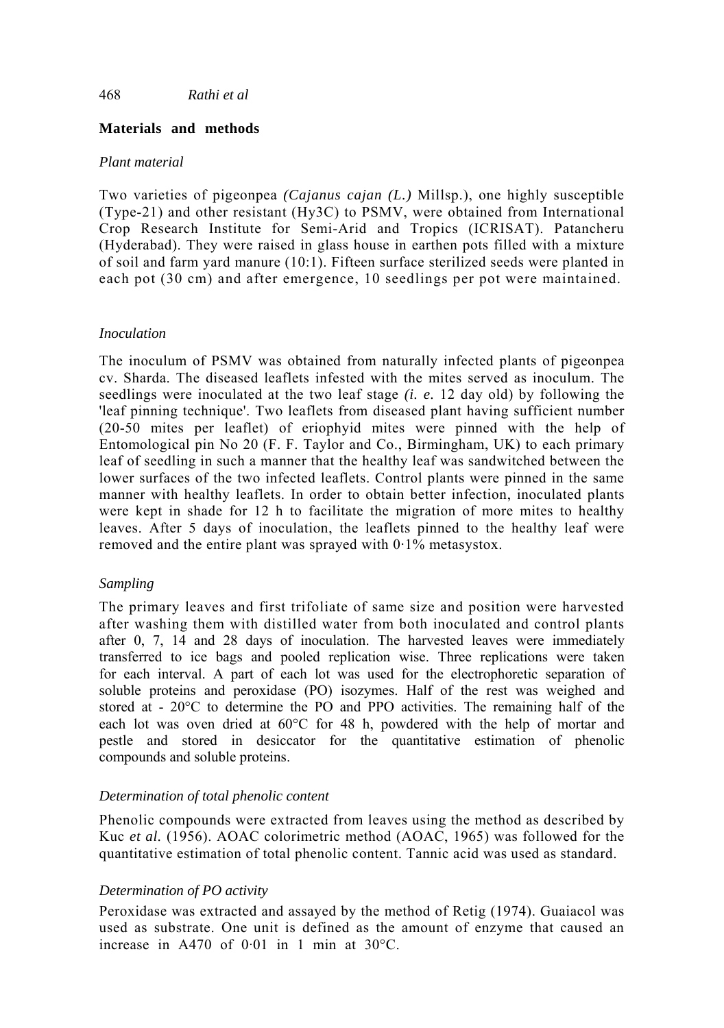# **Materials and methods**

# *Plant material*

Two varieties of pigeonpea *(Cajanus cajan (L.)* Millsp.), one highly susceptible (Type-21) and other resistant (Hy3C) to PSMV, were obtained from International Crop Research Institute for Semi-Arid and Tropics (ICRISAT). Patancheru (Hyderabad). They were raised in glass house in earthen pots filled with a mixture of soil and farm yard manure (10:1). Fifteen surface sterilized seeds were planted in each pot (30 cm) and after emergence, 10 seedlings per pot were maintained.

# *Inoculation*

The inoculum of PSMV was obtained from naturally infected plants of pigeonpea cv. Sharda. The diseased leaflets infested with the mites served as inoculum. The seedlings were inoculated at the two leaf stage *(i. e.* 12 day old) by following the 'leaf pinning technique'. Two leaflets from diseased plant having sufficient number (20-50 mites per leaflet) of eriophyid mites were pinned with the help of Entomological pin No 20 (F. F. Taylor and Co., Birmingham, UK) to each primary leaf of seedling in such a manner that the healthy leaf was sandwitched between the lower surfaces of the two infected leaflets. Control plants were pinned in the same manner with healthy leaflets. In order to obtain better infection, inoculated plants were kept in shade for 12 h to facilitate the migration of more mites to healthy leaves. After 5 days of inoculation, the leaflets pinned to the healthy leaf were removed and the entire plant was sprayed with  $0.1\%$  metasystox.

# *Sampling*

The primary leaves and first trifoliate of same size and position were harvested after washing them with distilled water from both inoculated and control plants after 0, 7, 14 and 28 days of inoculation. The harvested leaves were immediately transferred to ice bags and pooled replication wise. Three replications were taken for each interval. A part of each lot was used for the electrophoretic separation of soluble proteins and peroxidase (PO) isozymes. Half of the rest was weighed and stored at - 20°C to determine the PO and PPO activities. The remaining half of the each lot was oven dried at 60°C for 48 h, powdered with the help of mortar and pestle and stored in desiccator for the quantitative estimation of phenolic compounds and soluble proteins.

# *Determination of total phenolic content*

Phenolic compounds were extracted from leaves using the method as described by Kuc *et al.* (1956). AOAC colorimetric method (AOAC, 1965) was followed for the quantitative estimation of total phenolic content. Tannic acid was used as standard.

# *Determination of PO activity*

Peroxidase was extracted and assayed by the method of Retig (1974). Guaiacol was used as substrate. One unit is defined as the amount of enzyme that caused an increase in A470 of 0·01 in 1 min at 30°C.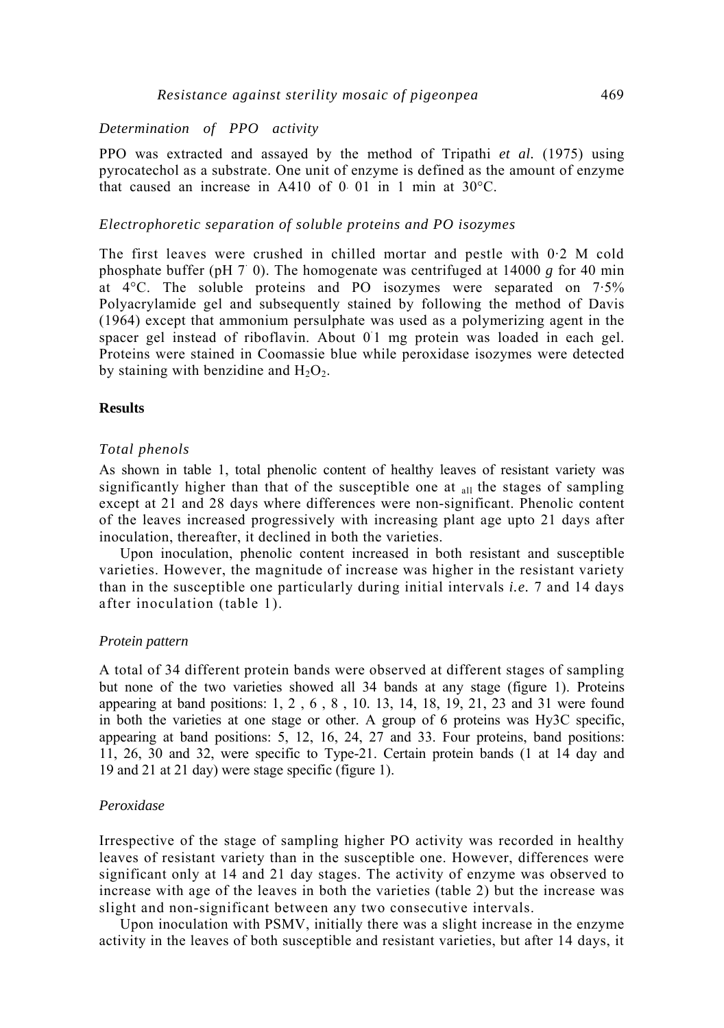# *Determination of PPO activity*

PPO was extracted and assayed by the method of Tripathi *et al.* (1975) using pyrocatechol as a substrate. One unit of enzyme is defined as the amount of enzyme that caused an increase in A410 of 0.01 in 1 min at  $30^{\circ}$ C.

#### *Electrophoretic separation of soluble proteins and PO isozymes*

The first leaves were crushed in chilled mortar and pestle with 0·2 Μ cold phosphate buffer (pH 7 0). The homogenate was centrifuged at 14000 *g* for 40 min at 4°C. The soluble proteins and PO isozymes were separated on 7·5% Polyacrylamide gel and subsequently stained by following the method of Davis (1964) except that ammonium persulphate was used as a polymerizing agent in the spacer gel instead of riboflavin. About 01 mg protein was loaded in each gel. Proteins were stained in Coomassie blue while peroxidase isozymes were detected by staining with benzidine and  $H_2O_2$ .

#### **Results**

### *Total phenols*

As shown in table 1, total phenolic content of healthy leaves of resistant variety was significantly higher than that of the susceptible one at  $_{all}$  the stages of sampling except at 21 and 28 days where differences were non-significant. Phenolic content of the leaves increased progressively with increasing plant age upto 21 days after inoculation, thereafter, it declined in both the varieties.

Upon inoculation, phenolic content increased in both resistant and susceptible varieties. However, the magnitude of increase was higher in the resistant variety than in the susceptible one particularly during initial intervals *i.e.* 7 and 14 days after inoculation (table 1).

#### *Protein pattern*

A total of 34 different protein bands were observed at different stages of sampling but none of the two varieties showed all 34 bands at any stage (figure 1). Proteins appearing at band positions: 1, 2 , 6 , 8 , 10. 13, 14, 18, 19, 21, 23 and 31 were found in both the varieties at one stage or other. A group of 6 proteins was Hy3C specific, appearing at band positions: 5, 12, 16, 24, 27 and 33. Four proteins, band positions: 11, 26, 30 and 32, were specific to Type-21. Certain protein bands (1 at 14 day and 19 and 21 at 21 day) were stage specific (figure 1).

#### *Peroxidase*

Irrespective of the stage of sampling higher PO activity was recorded in healthy leaves of resistant variety than in the susceptible one. However, differences were significant only at 14 and 21 day stages. The activity of enzyme was observed to increase with age of the leaves in both the varieties (table 2) but the increase was slight and non-significant between any two consecutive intervals.

Upon inoculation with PSMV, initially there was a slight increase in the enzyme activity in the leaves of both susceptible and resistant varieties, but after 14 days, it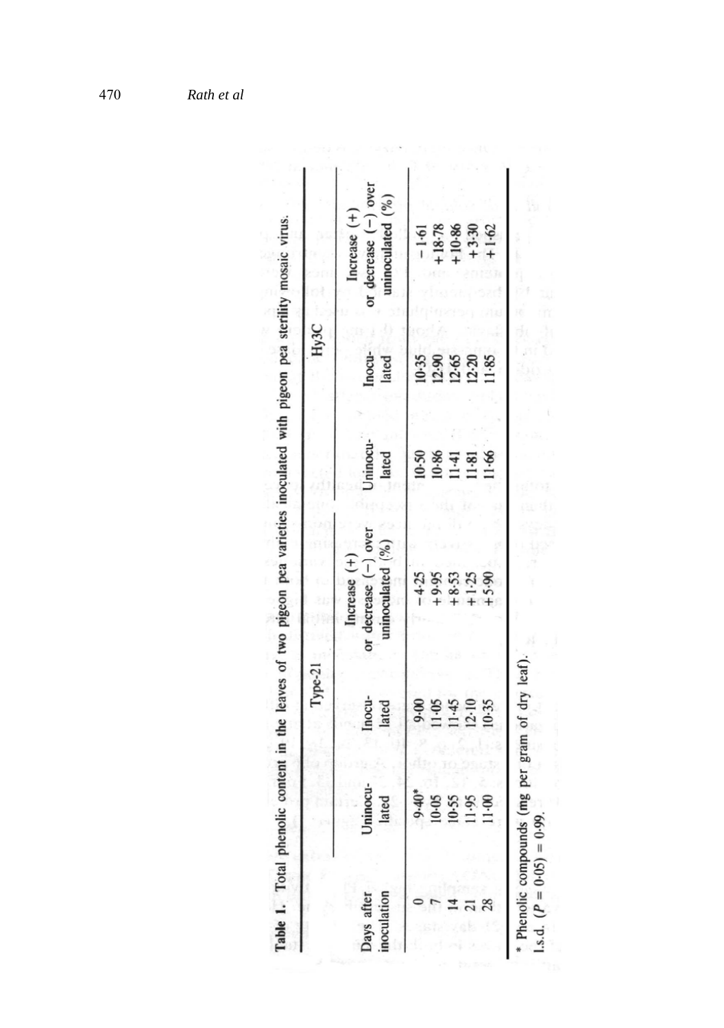|                           |                       | Type-21         |                                                              |                       | Hy <sub>3</sub> C |                                                                |
|---------------------------|-----------------------|-----------------|--------------------------------------------------------------|-----------------------|-------------------|----------------------------------------------------------------|
| inoculation<br>Days after | ocu-<br>lated<br>Jnin | Inocu-<br>lated | or decrease $(-)$ over<br>uninoculated (%)<br>Increase $(+)$ | Uninocu-<br>lated     | Inocu-<br>lated   | or decrease $(-)$ over<br>uninoculated $(%)$<br>$Increase (+)$ |
|                           | $9.40*$               | 0.00            | $-4.25$                                                      | $10-50$               | $10-35$           | $-1.61$                                                        |
|                           | <b>SO</b>             | 11-05           | $+9.95$                                                      |                       |                   | $+18.78$                                                       |
|                           | 55                    | 11-45<br>12-10  | $+8.53$                                                      | $\frac{10.86}{11.81}$ | 12.90<br>12.65    | $+10.86$                                                       |
|                           | 66                    |                 | $+1.25$                                                      |                       | $12 - 20$         | $+3.30$                                                        |
|                           | $\mathbf{8}$          | $10-35$         | $+5.90$                                                      | $11 - 66$             | 11.85             | $+1.62$                                                        |

*Rath et al*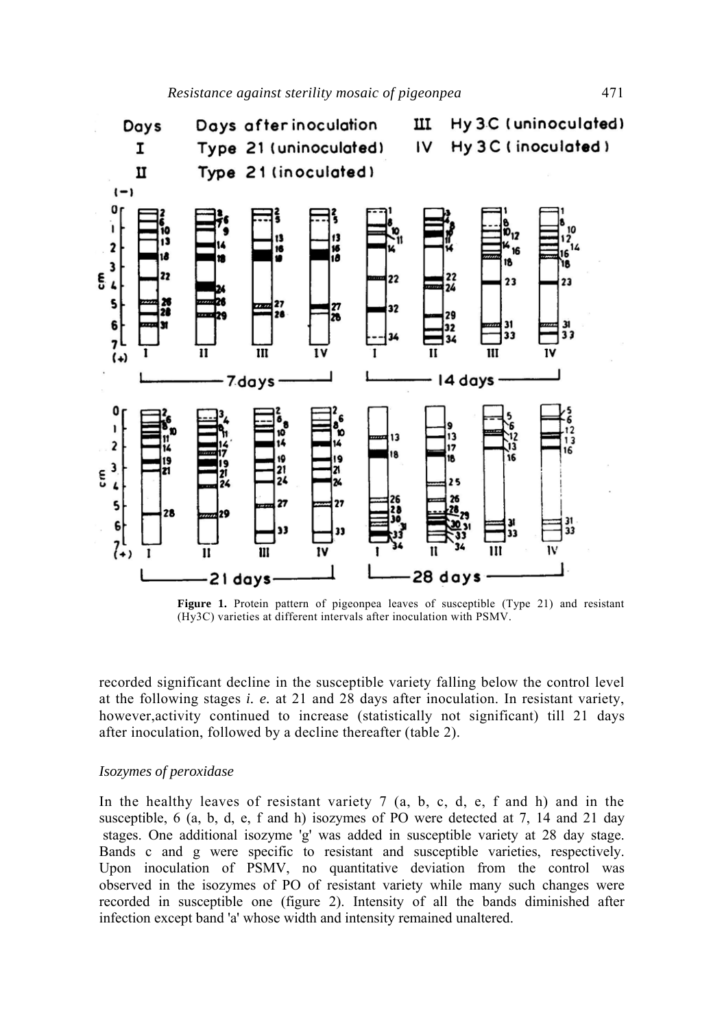

**Figure 1.** Protein pattern of pigeonpea leaves of susceptible (Type 21) and resistant (Hy3C) varieties at different intervals after inoculation with PSMV.

recorded significant decline in the susceptible variety falling below the control level at the following stages *i. e.* at 21 and 28 days after inoculation. In resistant variety, however,activity continued to increase (statistically not significant) till 21 days after inoculation, followed by a decline thereafter (table 2).

### *Isozymes of peroxidase*

In the healthy leaves of resistant variety  $7$  (a, b, c, d, e, f and h) and in the susceptible, 6 (a, b, d, e, f and h) isozymes of PO were detected at 7, 14 and 21 day stages. One additional isozyme 'g' was added in susceptible variety at 28 day stage. Bands c and g were specific to resistant and susceptible varieties, respectively. Upon inoculation of PSMV, no quantitative deviation from the control was observed in the isozymes of PO of resistant variety while many such changes were recorded in susceptible one (figure 2). Intensity of all the bands diminished after infection except band 'a' whose width and intensity remained unaltered.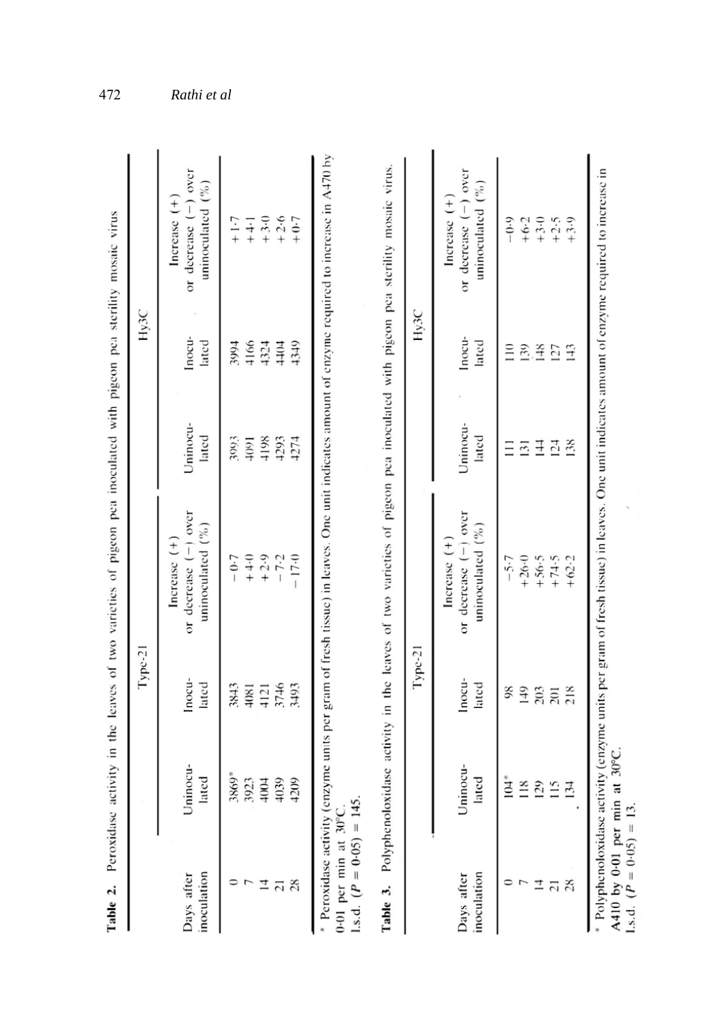| Table 2.                                             |                                                                             |                                           | Peroxidase activity in the leaves of two varieties of pigeon pea inoculated with pigeon pea sterility mosaic virus                                                                                                                                                                |                                           |                                                  |                                                                         |
|------------------------------------------------------|-----------------------------------------------------------------------------|-------------------------------------------|-----------------------------------------------------------------------------------------------------------------------------------------------------------------------------------------------------------------------------------------------------------------------------------|-------------------------------------------|--------------------------------------------------|-------------------------------------------------------------------------|
|                                                      |                                                                             | $Type-21$                                 |                                                                                                                                                                                                                                                                                   |                                           | Hy <sub>3</sub> C                                |                                                                         |
| inoculation<br>Days after                            | Uninocu-<br>lated                                                           | Inocu-<br>lated                           | or decrease $(-)$ over<br>uninoculated $(^{\circ}\%)$<br>Increase $(+)$                                                                                                                                                                                                           | Uninocu-<br>lated                         | Inocu-<br>lated                                  | or decrease $(-)$ over<br>uninoculated $(^{9}/_{0})$<br>Increase $(+)$  |
| 28<br>그<br>21                                        | 3869*<br>3923<br>4039<br>209<br>4004                                        | 3746<br>3843<br>3493<br>4081<br>4121      | $+4.0$<br>$+2.9$<br>$-17.0$<br>$-0.7$<br>$-7.2$                                                                                                                                                                                                                                   | 4293<br>3093<br>4198<br>4091<br>4274      | 4166<br>4349<br>3994<br>4324<br>4404             | $+2.6$<br>$+3.0$<br>$+0.7$<br>$+1.7$<br>$+4 - 1$                        |
| 1.s.d. $(P = 0.05) = 145$ .<br>0-01 per min at 30°C. |                                                                             |                                           | Peroxidase activity (enzyme units per gram of fresh tissue) in leaves. One unit indicates amount of enzyme required to increase in A470 by<br>Table 3. Polyphenoloxidase activity in the leaves of two varieties of pigeon pea inoculated with pigeon pea sterility mosaic virus. |                                           |                                                  |                                                                         |
|                                                      |                                                                             | $Type-21$                                 |                                                                                                                                                                                                                                                                                   |                                           | Hy <sub>3</sub> C                                |                                                                         |
| inoculation<br>Days after                            | Uninocu-<br>lated                                                           | Inocu-<br>lated                           | or decrease $(-)$ over<br>uninoculated $(^{96}_{6})$<br>Increase $(+)$                                                                                                                                                                                                            | Uninocu-<br>lated                         | Inocu-<br>lated                                  | over<br>uninoculated $(^{9}/_0)$<br>Increase $(+)$<br>or decrease $(-)$ |
| $\frac{21}{28}$<br>4                                 | $104*$<br>$\frac{8}{18}$<br>$\overline{29}$<br>$\approx$<br>$\overline{34}$ | $\frac{8}{2}$<br>149<br>203<br>201<br>218 | $+26.0$<br>$+56.5$<br>$+74.5$<br>$+62.2$<br>$-5.7$                                                                                                                                                                                                                                | 144<br>124<br>$\overline{31}$<br>138<br>Ξ | 139<br>$\frac{148}{5}$<br>Ξ<br>127<br>$\ddot{=}$ | $+3.0$<br>$+2.5$<br>+3.9<br>$-0.9$<br>$+6.2$                            |

<sup>2</sup><br>\* Polyphenoloxidase activity (enzyme units per gram of fresh tissue) in leaves. One unit indicates amount of enzyme required to increase in<br>A410 by 0-01 per min at 30°C.<br>1.s.d. ( $P = 0.05$ ) = 13.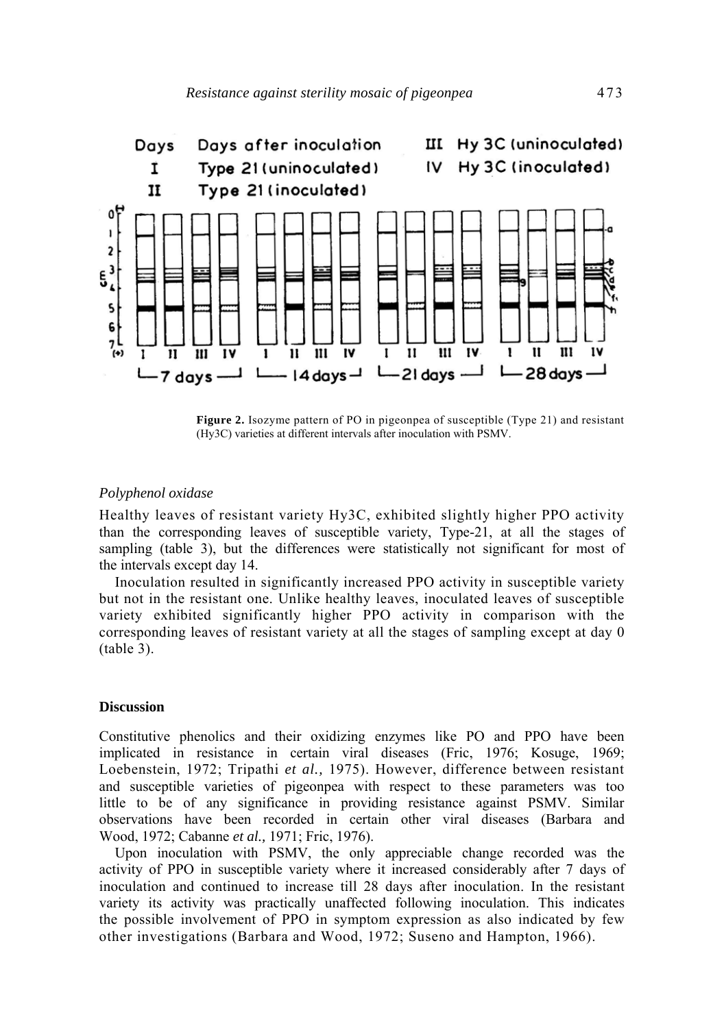

**Figure 2.** Isozyme pattern of PO in pigeonpea of susceptible (Type 21) and resistant (Hy3C) varieties at different intervals after inoculation with PSMV.

### *Polyphenol oxidase*

Healthy leaves of resistant variety Hy3C, exhibited slightly higher PPO activity than the corresponding leaves of susceptible variety, Type-21, at all the stages of sampling (table 3), but the differences were statistically not significant for most of the intervals except day 14.

Inoculation resulted in significantly increased PPO activity in susceptible variety but not in the resistant one. Unlike healthy leaves, inoculated leaves of susceptible variety exhibited significantly higher PPO activity in comparison with the corresponding leaves of resistant variety at all the stages of sampling except at day 0 (table 3).

#### **Discussion**

Constitutive phenolics and their oxidizing enzymes like PO and PPO have been implicated in resistance in certain viral diseases (Fric, 1976; Kosuge, 1969; Loebenstein, 1972; Tripathi *et al.,* 1975). However, difference between resistant and susceptible varieties of pigeonpea with respect to these parameters was too little to be of any significance in providing resistance against PSMV. Similar observations have been recorded in certain other viral diseases (Barbara and Wood, 1972; Cabanne *et al.,* 1971; Fric, 1976).

Upon inoculation with PSMV, the only appreciable change recorded was the activity of PPO in susceptible variety where it increased considerably after 7 days of inoculation and continued to increase till 28 days after inoculation. In the resistant variety its activity was practically unaffected following inoculation. This indicates the possible involvement of PPO in symptom expression as also indicated by few other investigations (Barbara and Wood, 1972; Suseno and Hampton, 1966).